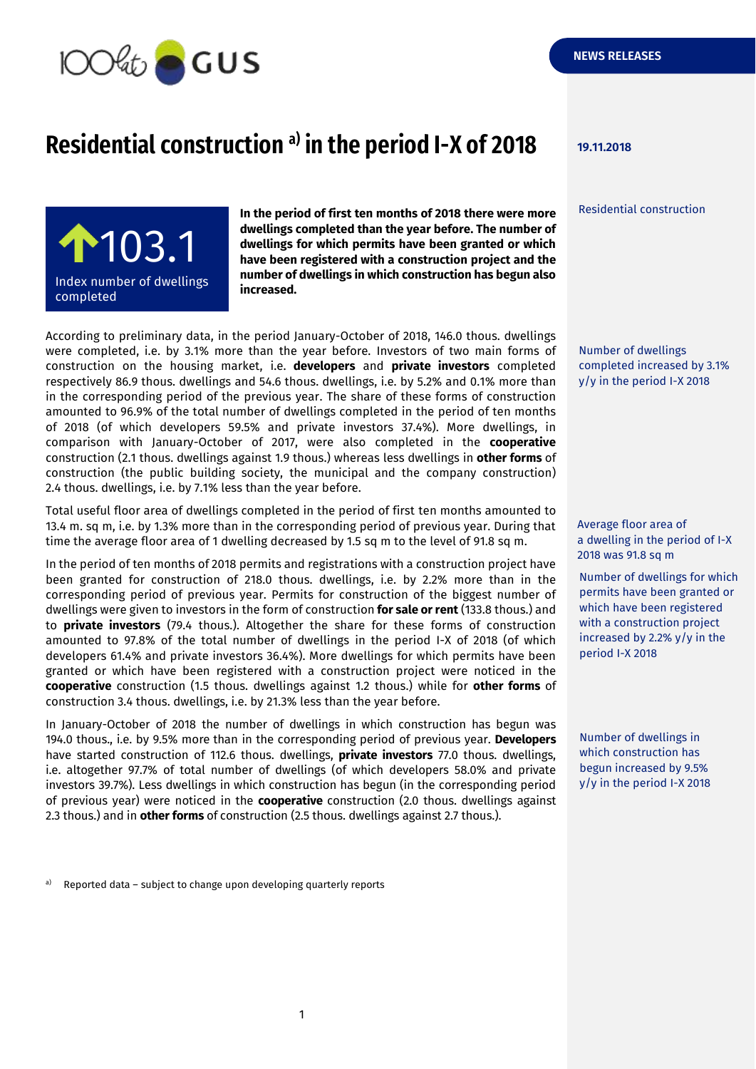

## **Residential construction 19.11.2018 a) in the period I-X of 2018**

Residential construction



**In the period of first ten months of 2018 there were more dwellings completed than the year before. The number of dwellings for which permits have been granted or which have been registered with a construction project and the number of dwellings in which construction has begun also increased.**

According to preliminary data, in the period January-October of 2018, 146.0 thous. dwellings were completed, i.e. by 3.1% more than the year before. Investors of two main forms of construction on the housing market, i.e. **developers** and **private investors** completed respectively 86.9 thous. dwellings and 54.6 thous. dwellings, i.e. by 5.2% and 0.1% more than in the corresponding period of the previous year. The share of these forms of construction amounted to 96.9% of the total number of dwellings completed in the period of ten months of 2018 (of which developers 59.5% and private investors 37.4%). More dwellings, in comparison with January-October of 2017, were also completed in the **cooperative** construction (2.1 thous. dwellings against 1.9 thous.) whereas less dwellings in **other forms** of construction (the public building society, the municipal and the company construction) 2.4 thous. dwellings, i.e. by 7.1% less than the year before.

Total useful floor area of dwellings completed in the period of first ten months amounted to 13.4 m. sq m, i.e. by 1.3% more than in the corresponding period of previous year. During that time the average floor area of 1 dwelling decreased by 1.5 sq m to the level of 91.8 sq m.

In the period of ten months of 2018 permits and registrations with a construction project have been granted for construction of 218.0 thous. dwellings, i.e. by 2.2% more than in the corresponding period of previous year. Permits for construction of the biggest number of dwellings were given to investors in the form of construction **for sale or rent** (133.8 thous.) and to **private investors** (79.4 thous.). Altogether the share for these forms of construction amounted to 97.8% of the total number of dwellings in the period I-X of 2018 (of which developers 61.4% and private investors 36.4%). More dwellings for which permits have been granted or which have been registered with a construction project were noticed in the **cooperative** construction (1.5 thous. dwellings against 1.2 thous.) while for **other forms** of construction 3.4 thous. dwellings, i.e. by 21.3% less than the year before.

In January-October of 2018 the number of dwellings in which construction has begun was 194.0 thous., i.e. by 9.5% more than in the corresponding period of previous year. **Developers** have started construction of 112.6 thous. dwellings, **private investors** 77.0 thous. dwellings, i.e. altogether 97.7% of total number of dwellings (of which developers 58.0% and private investors 39.7%). Less dwellings in which construction has begun (in the corresponding period of previous year) were noticed in the **cooperative** construction (2.0 thous. dwellings against 2.3 thous.) and in **other forms** of construction (2.5 thous. dwellings against 2.7 thous.).

Number of dwellings completed increased by 3.1% y/y in the period I-X 2018

Average floor area of a dwelling in the period of I-X 2018 was 91.8 sq m

Number of dwellings for which permits have been granted or which have been registered with a construction project increased by 2.2% y/y in the period I-X 2018

Number of dwellings in which construction has begun increased by 9.5% y/y in the period I-X 2018

a) Reported data – subject to change upon developing quarterly reports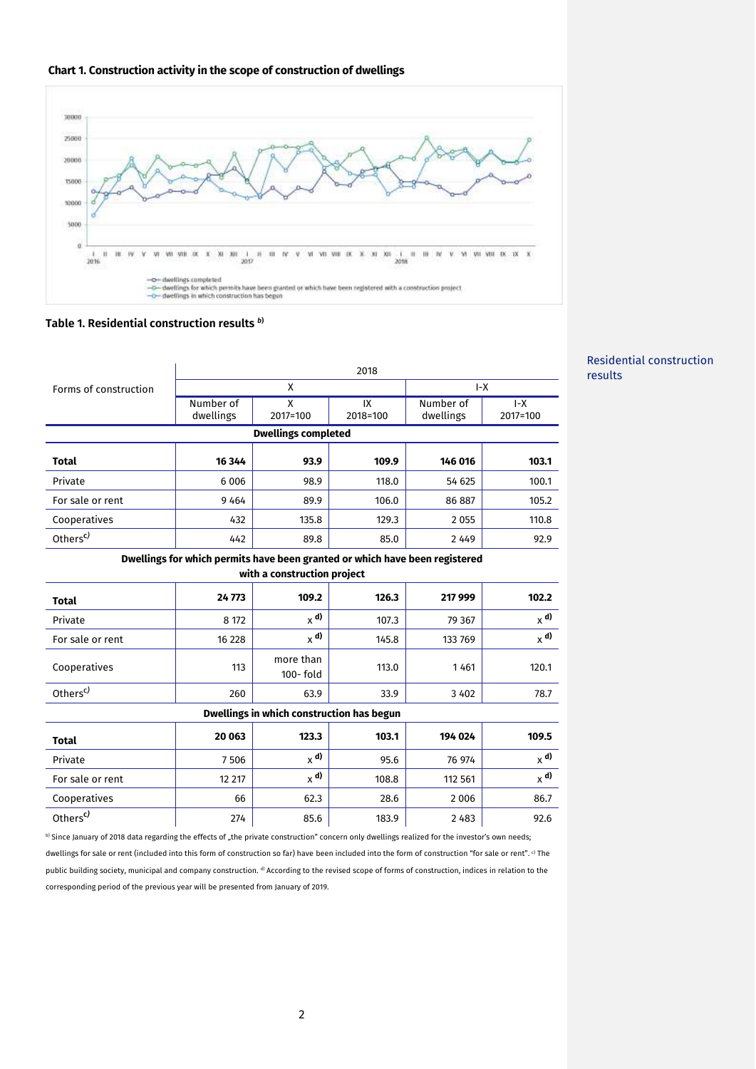



## **Table 1. Residential construction results** *<sup>b</sup>***)**

|                                                                                                            | 2018                   |                           |                |                        |                   |
|------------------------------------------------------------------------------------------------------------|------------------------|---------------------------|----------------|------------------------|-------------------|
| Forms of construction                                                                                      | X                      |                           |                | $I-X$                  |                   |
|                                                                                                            | Number of<br>dwellings | X<br>2017=100             | IX<br>2018=100 | Number of<br>dwellings | $I-X$<br>2017=100 |
| <b>Dwellings completed</b>                                                                                 |                        |                           |                |                        |                   |
| <b>Total</b>                                                                                               | 16 344                 | 93.9                      | 109.9          | 146 016                | 103.1             |
| Private                                                                                                    | 6 0 0 6                | 98.9                      | 118.0          | 54 625                 | 100.1             |
| For sale or rent                                                                                           | 9464                   | 89.9                      | 106.0          | 86 887                 | 105.2             |
| Cooperatives                                                                                               | 432                    | 135.8                     | 129.3          | 2 0 5 5                | 110.8             |
| Others <sup>c)</sup>                                                                                       | 442                    | 89.8                      | 85.0           | 2 4 4 9                | 92.9              |
| Dwellings for which permits have been granted or which have been registered<br>with a construction project |                        |                           |                |                        |                   |
| <b>Total</b>                                                                                               | 24773                  | 109.2                     | 126.3          | 217 999                | 102.2             |
| Private                                                                                                    | 8 172                  | $_{\chi}$ d)              | 107.3          | 79 367                 | $x^{\rm d}$       |
| For sale or rent                                                                                           | 16 228                 | $_{\chi}$ d)              | 145.8          | 133 769                | $x$ <sup>d)</sup> |
| Cooperatives                                                                                               | 113                    | more than<br>$100 -$ fold | 113.0          | 1461                   | 120.1             |
| Others <sup>c)</sup>                                                                                       | 260                    | 63.9                      | 33.9           | 3 4 0 2                | 78.7              |
| Dwellings in which construction has begun                                                                  |                        |                           |                |                        |                   |
| <b>Total</b>                                                                                               | 20 063                 | 123.3                     | 103.1          | 194 024                | 109.5             |
| Private                                                                                                    | 7506                   | $x^{d}$                   | 95.6           | 76 974                 | $x^{d}$           |
| For sale or rent                                                                                           | 12 217                 | $\times$ d)               | 108.8          | 112 561                | $_{\chi}$ d)      |
| Cooperatives                                                                                               | 66                     | 62.3                      | 28.6           | 2006                   | 86.7              |
| Others <sup>c)</sup>                                                                                       | 274                    | 85.6                      | 183.9          | 2483                   | 92.6              |

b) Since January of 2018 data regarding the effects of "the private construction" concern only dwellings realized for the investor's own needs; dwellings for sale or rent (included into this form of construction so far) have been included into the form of construction "for sale or rent". c) The public building society, municipal and company construction.<sup>d</sup> According to the revised scope of forms of construction, indices in relation to the corresponding period of the previous year will be presented from January of 2019.

## Residential construction results